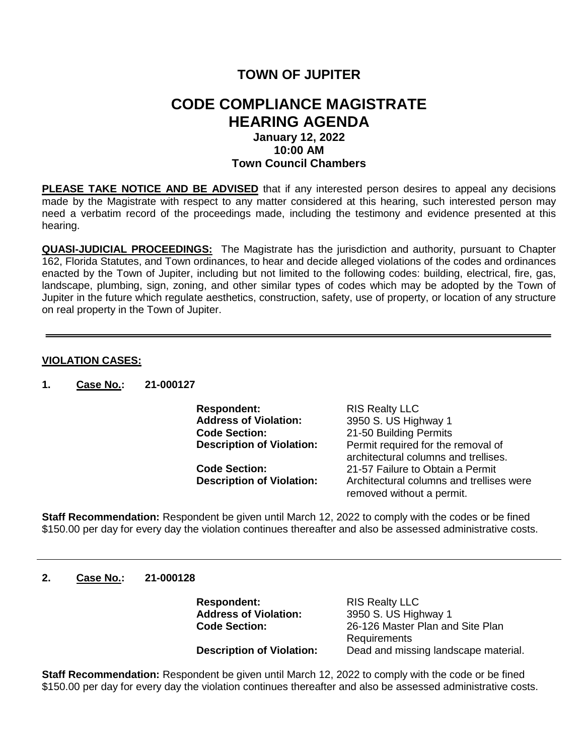# **TOWN OF JUPITER**

## **CODE COMPLIANCE MAGISTRATE HEARING AGENDA January 12, 2022 10:00 AM**

# **Town Council Chambers**

**PLEASE TAKE NOTICE AND BE ADVISED** that if any interested person desires to appeal any decisions made by the Magistrate with respect to any matter considered at this hearing, such interested person may need a verbatim record of the proceedings made, including the testimony and evidence presented at this hearing.

**QUASI-JUDICIAL PROCEEDINGS:** The Magistrate has the jurisdiction and authority, pursuant to Chapter 162, Florida Statutes, and Town ordinances, to hear and decide alleged violations of the codes and ordinances enacted by the Town of Jupiter, including but not limited to the following codes: building, electrical, fire, gas, landscape, plumbing, sign, zoning, and other similar types of codes which may be adopted by the Town of Jupiter in the future which regulate aesthetics, construction, safety, use of property, or location of any structure on real property in the Town of Jupiter.

## **VIOLATION CASES:**

**1. Case No.: 21-000127**

**Respondent:** RIS Realty LLC<br> **Address of Violation:** 3950 S. US High **Address of Violation:** 3950 S. US Highway 1 **Code Section:** 21-50 Building Permits<br>**Description of Violation:** Permit required for the Permit required for the removal of architectural columns and trellises. **Code Section:** 21-57 Failure to Obtain a Permit **Description of Violation:** Architectural columns and trellises were

removed without a permit.

**Staff Recommendation:** Respondent be given until March 12, 2022 to comply with the codes or be fined \$150.00 per day for every day the violation continues thereafter and also be assessed administrative costs.

#### **2. Case No.: 21-000128**

**Respondent:** RIS Realty LLC<br> **Address of Violation:** 3950 S. US Higl

**Address of Violation:** 3950 S. US Highway 1<br>**Code Section:** 26-126 Master Plan and 26-126 Master Plan and Site Plan **Requirements Description of Violation:** Dead and missing landscape material.

**Staff Recommendation:** Respondent be given until March 12, 2022 to comply with the code or be fined \$150.00 per day for every day the violation continues thereafter and also be assessed administrative costs.